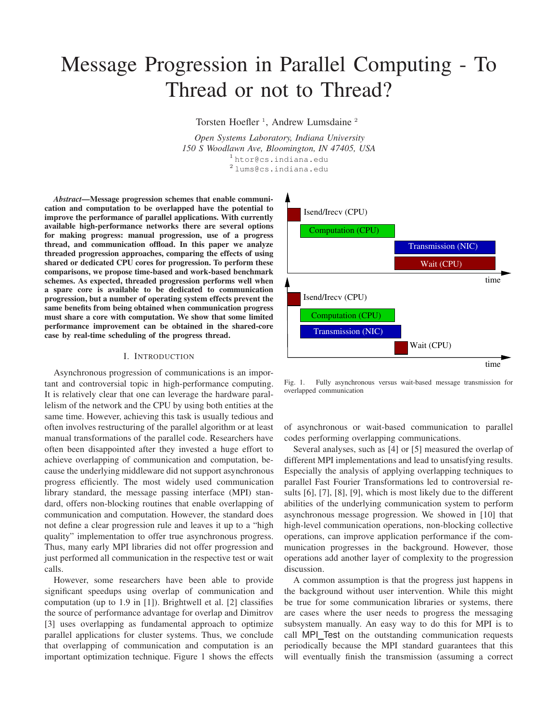# Message Progression in Parallel Computing - To Thread or not to Thread?

Torsten Hoefler<sup>1</sup>, Andrew Lumsdaine<sup>2</sup>

*Open Systems Laboratory, Indiana University 150 S Woodlawn Ave, Bloomington, IN 47405, USA* <sup>1</sup> htor@cs.indiana.edu <sup>2</sup> lums@cs.indiana.edu

*Abstract***—Message progression schemes that enable communication and computation to be overlapped have the potential to improve the performance of parallel applications. With currently available high-performance networks there are several options for making progress: manual progression, use of a progress thread, and communication offload. In this paper we analyze threaded progression approaches, comparing the effects of using shared or dedicated CPU cores for progression. To perform these comparisons, we propose time-based and work-based benchmark schemes. As expected, threaded progression performs well when a spare core is available to be dedicated to communication progression, but a number of operating system effects prevent the same benefits from being obtained when communication progress must share a core with computation. We show that some limited performance improvement can be obtained in the shared-core case by real-time scheduling of the progress thread.**

### I. INTRODUCTION

Asynchronous progression of communications is an important and controversial topic in high-performance computing. It is relatively clear that one can leverage the hardware parallelism of the network and the CPU by using both entities at the same time. However, achieving this task is usually tedious and often involves restructuring of the parallel algorithm or at least manual transformations of the parallel code. Researchers have often been disappointed after they invested a huge effort to achieve overlapping of communication and computation, because the underlying middleware did not support asynchronous progress efficiently. The most widely used communication library standard, the message passing interface (MPI) standard, offers non-blocking routines that enable overlapping of communication and computation. However, the standard does not define a clear progression rule and leaves it up to a "high quality" implementation to offer true asynchronous progress. Thus, many early MPI libraries did not offer progression and just performed all communication in the respective test or wait calls.

However, some researchers have been able to provide significant speedups using overlap of communication and computation (up to 1.9 in [1]). Brightwell et al. [2] classifies the source of performance advantage for overlap and Dimitrov [3] uses overlapping as fundamental approach to optimize parallel applications for cluster systems. Thus, we conclude that overlapping of communication and computation is an important optimization technique. Figure 1 shows the effects



Fig. 1. Fully asynchronous versus wait-based message transmission for overlapped communication

of asynchronous or wait-based communication to parallel codes performing overlapping communications.

Several analyses, such as [4] or [5] measured the overlap of different MPI implementations and lead to unsatisfying results. Especially the analysis of applying overlapping techniques to parallel Fast Fourier Transformations led to controversial results [6], [7], [8], [9], which is most likely due to the different abilities of the underlying communication system to perform asynchronous message progression. We showed in [10] that high-level communication operations, non-blocking collective operations, can improve application performance if the communication progresses in the background. However, those operations add another layer of complexity to the progression discussion.

A common assumption is that the progress just happens in the background without user intervention. While this might be true for some communication libraries or systems, there are cases where the user needs to progress the messaging subsystem manually. An easy way to do this for MPI is to call MPI Test on the outstanding communication requests periodically because the MPI standard guarantees that this will eventually finish the transmission (assuming a correct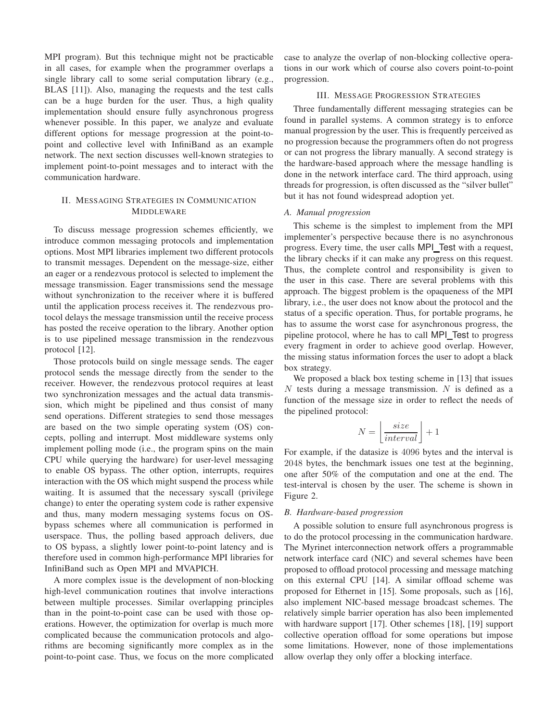MPI program). But this technique might not be practicable in all cases, for example when the programmer overlaps a single library call to some serial computation library (e.g., BLAS [11]). Also, managing the requests and the test calls can be a huge burden for the user. Thus, a high quality implementation should ensure fully asynchronous progress whenever possible. In this paper, we analyze and evaluate different options for message progression at the point-topoint and collective level with InfiniBand as an example network. The next section discusses well-known strategies to implement point-to-point messages and to interact with the communication hardware.

# II. MESSAGING STRATEGIES IN COMMUNICATION MIDDLEWARE

To discuss message progression schemes efficiently, we introduce common messaging protocols and implementation options. Most MPI libraries implement two different protocols to transmit messages. Dependent on the message-size, either an eager or a rendezvous protocol is selected to implement the message transmission. Eager transmissions send the message without synchronization to the receiver where it is buffered until the application process receives it. The rendezvous protocol delays the message transmission until the receive process has posted the receive operation to the library. Another option is to use pipelined message transmission in the rendezvous protocol [12].

Those protocols build on single message sends. The eager protocol sends the message directly from the sender to the receiver. However, the rendezvous protocol requires at least two synchronization messages and the actual data transmission, which might be pipelined and thus consist of many send operations. Different strategies to send those messages are based on the two simple operating system (OS) concepts, polling and interrupt. Most middleware systems only implement polling mode (i.e., the program spins on the main CPU while querying the hardware) for user-level messaging to enable OS bypass. The other option, interrupts, requires interaction with the OS which might suspend the process while waiting. It is assumed that the necessary syscall (privilege change) to enter the operating system code is rather expensive and thus, many modern messaging systems focus on OSbypass schemes where all communication is performed in userspace. Thus, the polling based approach delivers, due to OS bypass, a slightly lower point-to-point latency and is therefore used in common high-performance MPI libraries for InfiniBand such as Open MPI and MVAPICH.

A more complex issue is the development of non-blocking high-level communication routines that involve interactions between multiple processes. Similar overlapping principles than in the point-to-point case can be used with those operations. However, the optimization for overlap is much more complicated because the communication protocols and algorithms are becoming significantly more complex as in the point-to-point case. Thus, we focus on the more complicated

case to analyze the overlap of non-blocking collective operations in our work which of course also covers point-to-point progression.

## III. MESSAGE PROGRESSION STRATEGIES

Three fundamentally different messaging strategies can be found in parallel systems. A common strategy is to enforce manual progression by the user. This is frequently perceived as no progression because the programmers often do not progress or can not progress the library manually. A second strategy is the hardware-based approach where the message handling is done in the network interface card. The third approach, using threads for progression, is often discussed as the "silver bullet" but it has not found widespread adoption yet.

## *A. Manual progression*

This scheme is the simplest to implement from the MPI implementer's perspective because there is no asynchronous progress. Every time, the user calls MPI\_Test with a request, the library checks if it can make any progress on this request. Thus, the complete control and responsibility is given to the user in this case. There are several problems with this approach. The biggest problem is the opaqueness of the MPI library, i.e., the user does not know about the protocol and the status of a specific operation. Thus, for portable programs, he has to assume the worst case for asynchronous progress, the pipeline protocol, where he has to call MPI\_Test to progress every fragment in order to achieve good overlap. However, the missing status information forces the user to adopt a black box strategy.

We proposed a black box testing scheme in [13] that issues  $N$  tests during a message transmission. N is defined as a function of the message size in order to reflect the needs of the pipelined protocol:

$$
N = \left\lfloor \frac{size}{interval} \right\rfloor + 1
$$

For example, if the datasize is 4096 bytes and the interval is 2048 bytes, the benchmark issues one test at the beginning, one after 50% of the computation and one at the end. The test-interval is chosen by the user. The scheme is shown in Figure 2.

#### *B. Hardware-based progression*

A possible solution to ensure full asynchronous progress is to do the protocol processing in the communication hardware. The Myrinet interconnection network offers a programmable network interface card (NIC) and several schemes have been proposed to offload protocol processing and message matching on this external CPU [14]. A similar offload scheme was proposed for Ethernet in [15]. Some proposals, such as [16], also implement NIC-based message broadcast schemes. The relatively simple barrier operation has also been implemented with hardware support [17]. Other schemes [18], [19] support collective operation offload for some operations but impose some limitations. However, none of those implementations allow overlap they only offer a blocking interface.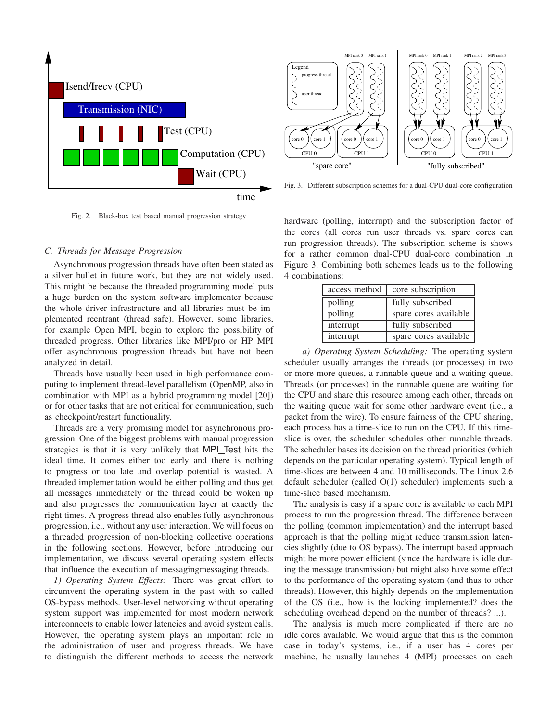

Fig. 2. Black-box test based manual progression strategy

#### $\csc 0$   $\csc 1$ CPU 0  $\csc 0$   $\csc 1$ **CPU**  $\csc 0$   $\csc 1$  $CPIU$  $\csc 0$   $\csc 1$ CPU 1 MPI rank 1 MPI rank 2 MPI rank 3 "spare core" <br>"fully subscribed" MPI rank 0 MPI rank 1 MPI rank 0 user thread progress thread Legend

Fig. 3. Different subscription schemes for a dual-CPU dual-core configuration

## *C. Threads for Message Progression*

Asynchronous progression threads have often been stated as a silver bullet in future work, but they are not widely used. This might be because the threaded programming model puts a huge burden on the system software implementer because the whole driver infrastructure and all libraries must be implemented reentrant (thread safe). However, some libraries, for example Open MPI, begin to explore the possibility of threaded progress. Other libraries like MPI/pro or HP MPI offer asynchronous progression threads but have not been analyzed in detail.

Threads have usually been used in high performance computing to implement thread-level parallelism (OpenMP, also in combination with MPI as a hybrid programming model [20]) or for other tasks that are not critical for communication, such as checkpoint/restart functionality.

Threads are a very promising model for asynchronous progression. One of the biggest problems with manual progression strategies is that it is very unlikely that MPI Test hits the ideal time. It comes either too early and there is nothing to progress or too late and overlap potential is wasted. A threaded implementation would be either polling and thus get all messages immediately or the thread could be woken up and also progresses the communication layer at exactly the right times. A progress thread also enables fully asynchronous progression, i.e., without any user interaction. We will focus on a threaded progression of non-blocking collective operations in the following sections. However, before introducing our implementation, we discuss several operating system effects that influence the execution of messagingmessaging threads.

*1) Operating System Effects:* There was great effort to circumvent the operating system in the past with so called OS-bypass methods. User-level networking without operating system support was implemented for most modern network interconnects to enable lower latencies and avoid system calls. However, the operating system plays an important role in the administration of user and progress threads. We have to distinguish the different methods to access the network

hardware (polling, interrupt) and the subscription factor of the cores (all cores run user threads vs. spare cores can run progression threads). The subscription scheme is shows for a rather common dual-CPU dual-core combination in Figure 3. Combining both schemes leads us to the following 4 combinations:

| access method | core subscription     |
|---------------|-----------------------|
| polling       | fully subscribed      |
| polling       | spare cores available |
| interrupt     | fully subscribed      |
| interrupt     | spare cores available |

*a) Operating System Scheduling:* The operating system scheduler usually arranges the threads (or processes) in two or more more queues, a runnable queue and a waiting queue. Threads (or processes) in the runnable queue are waiting for the CPU and share this resource among each other, threads on the waiting queue wait for some other hardware event (i.e., a packet from the wire). To ensure fairness of the CPU sharing, each process has a time-slice to run on the CPU. If this timeslice is over, the scheduler schedules other runnable threads. The scheduler bases its decision on the thread priorities (which depends on the particular operating system). Typical length of time-slices are between 4 and 10 milliseconds. The Linux 2.6 default scheduler (called O(1) scheduler) implements such a time-slice based mechanism.

The analysis is easy if a spare core is available to each MPI process to run the progression thread. The difference between the polling (common implementation) and the interrupt based approach is that the polling might reduce transmission latencies slightly (due to OS bypass). The interrupt based approach might be more power efficient (since the hardware is idle during the message transmission) but might also have some effect to the performance of the operating system (and thus to other threads). However, this highly depends on the implementation of the OS (i.e., how is the locking implemented? does the scheduling overhead depend on the number of threads? ...).

The analysis is much more complicated if there are no idle cores available. We would argue that this is the common case in today's systems, i.e., if a user has 4 cores per machine, he usually launches 4 (MPI) processes on each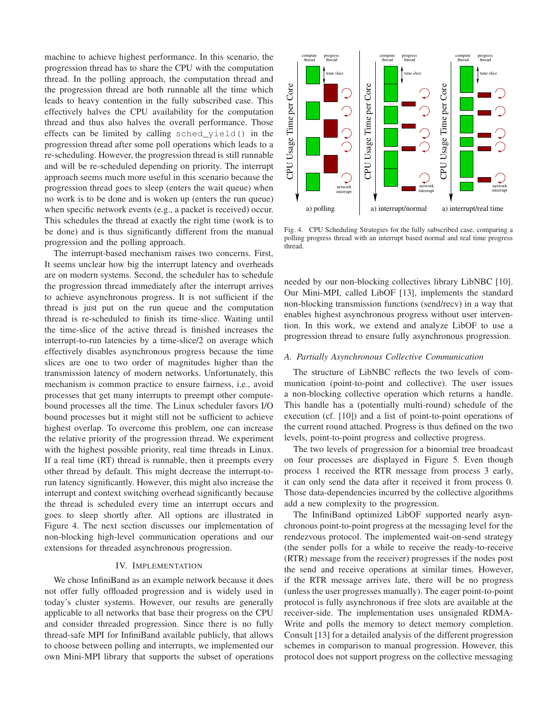machine to achieve highest performance. In this scenario, the progression thread has to share the CPU with the computation thread. In the polling approach, the computation thread and the progression thread are both runnable all the time which leads to heavy contention in the fully subscribed case. This effectively halves the CPU availability for the computation thread and thus also halves the overall performance. Those effects can be limited by calling sched\_yield() in the progression thread after some poll operations which leads to a re-scheduling. However, the progression thread is still runnable and will be re-scheduled depending on priority. The interrupt approach seems much more useful in this scenario because the progression thread goes to sleep (enters the wait queue) when no work is to be done and is woken up (enters the run queue) when specific network events (e.g., a packet is received) occur. This schedules the thread at exactly the right time (work is to be done) and is thus significantly different from the manual progression and the polling approach.

The interrupt-based mechanism raises two concerns. First, It seems unclear how big the interrupt latency and overheads are on modern systems. Second, the scheduler has to schedule the progression thread immediately after the interrupt arrives to achieve asynchronous progress. It is not sufficient if the thread is just put on the run queue and the computation thread is re-scheduled to finish its time-slice. Waiting until the time-slice of the active thread is finished increases the interrupt-to-run latencies by a time-slice/2 on average which effectively disables asynchronous progress because the time slices are one to two order of magnitudes higher than the transmission latency of modern networks. Unfortunately, this mechanism is common practice to ensure fairness, i.e., avoid processes that get many interrupts to preempt other computebound processes all the time. The Linux scheduler favors I/O bound processes but it might still not be sufficient to achieve highest overlap. To overcome this problem, one can increase the relative priority of the progression thread. We experiment with the highest possible priority, real time threads in Linux. If a real time (RT) thread is runnable, then it preempts every other thread by default. This might decrease the interrupt-torun latency significantly. However, this might also increase the interrupt and context switching overhead significantly because the thread is scheduled every time an interrupt occurs and goes to sleep shortly after. All options are illustrated in Figure 4. The next section discusses our implementation of non-blocking high-level communication operations and our extensions for threaded asynchronous progression.

## IV. IMPLEMENTATION

We chose InfiniBand as an example network because it does not offer fully offloaded progression and is widely used in today's cluster systems. However, our results are generally applicable to all networks that base their progress on the CPU and consider threaded progression. Since there is no fully thread-safe MPI for InfiniBand available publicly, that allows to choose between polling and interrupts, we implemented our own Mini-MPI library that supports the subset of operations



Fig. 4. CPU Scheduling Strategies for the fully subscribed case, comparing a polling progress thread with an interrupt based normal and real time progress thread.

needed by our non-blocking collectives library LibNBC [10]. Our Mini-MPI, called LibOF [13], implements the standard non-blocking transmission functions (send/recv) in a way that enables highest asynchronous progress without user intervention. In this work, we extend and analyze LibOF to use a progression thread to ensure fully asynchronous progression.

#### *A. Partially Asynchronous Collective Communication*

The structure of LibNBC reflects the two levels of communication (point-to-point and collective). The user issues a non-blocking collective operation which returns a handle. This handle has a (potentially multi-round) schedule of the execution (cf. [10]) and a list of point-to-point operations of the current round attached. Progress is thus defined on the two levels, point-to-point progress and collective progress.

The two levels of progression for a binomial tree broadcast on four processes are displayed in Figure 5. Even though process 1 received the RTR message from process 3 early, it can only send the data after it received it from process 0. Those data-dependencies incurred by the collective algorithms add a new complexity to the progression.

The InfiniBand optimized LibOF supported nearly asynchronous point-to-point progress at the messaging level for the rendezvous protocol. The implemented wait-on-send strategy (the sender polls for a while to receive the ready-to-receive (RTR) message from the receiver) progresses if the nodes post the send and receive operations at similar times. However, if the RTR message arrives late, there will be no progress (unless the user progresses manually). The eager point-to-point protocol is fully asynchronous if free slots are available at the receiver-side. The implementation uses unsignaled RDMA-Write and polls the memory to detect memory completion. Consult [13] for a detailed analysis of the different progression schemes in comparison to manual progression. However, this protocol does not support progress on the collective messaging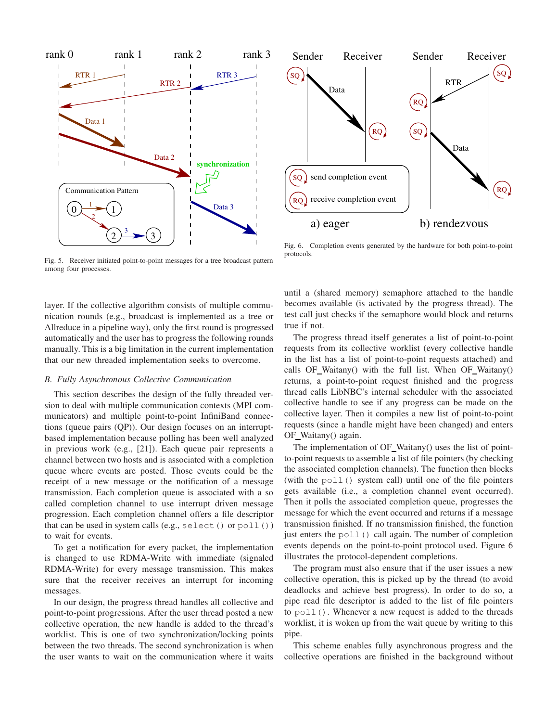

Fig. 5. Receiver initiated point-to-point messages for a tree broadcast pattern among four processes.

layer. If the collective algorithm consists of multiple communication rounds (e.g., broadcast is implemented as a tree or Allreduce in a pipeline way), only the first round is progressed automatically and the user has to progress the following rounds manually. This is a big limitation in the current implementation that our new threaded implementation seeks to overcome.

#### *B. Fully Asynchronous Collective Communication*

This section describes the design of the fully threaded version to deal with multiple communication contexts (MPI communicators) and multiple point-to-point InfiniBand connections (queue pairs (QP)). Our design focuses on an interruptbased implementation because polling has been well analyzed in previous work (e.g., [21]). Each queue pair represents a channel between two hosts and is associated with a completion queue where events are posted. Those events could be the receipt of a new message or the notification of a message transmission. Each completion queue is associated with a so called completion channel to use interrupt driven message progression. Each completion channel offers a file descriptor that can be used in system calls (e.g., select() or poll()) to wait for events.

To get a notification for every packet, the implementation is changed to use RDMA-Write with immediate (signaled RDMA-Write) for every message transmission. This makes sure that the receiver receives an interrupt for incoming messages.

In our design, the progress thread handles all collective and point-to-point progressions. After the user thread posted a new collective operation, the new handle is added to the thread's worklist. This is one of two synchronization/locking points between the two threads. The second synchronization is when the user wants to wait on the communication where it waits



Fig. 6. Completion events generated by the hardware for both point-to-point protocols.

until a (shared memory) semaphore attached to the handle becomes available (is activated by the progress thread). The test call just checks if the semaphore would block and returns true if not.

The progress thread itself generates a list of point-to-point requests from its collective worklist (every collective handle in the list has a list of point-to-point requests attached) and calls OF Waitany() with the full list. When OF Waitany() returns, a point-to-point request finished and the progress thread calls LibNBC's internal scheduler with the associated collective handle to see if any progress can be made on the collective layer. Then it compiles a new list of point-to-point requests (since a handle might have been changed) and enters OF Waitany() again.

The implementation of OF\_Waitany() uses the list of pointto-point requests to assemble a list of file pointers (by checking the associated completion channels). The function then blocks (with the poll() system call) until one of the file pointers gets available (i.e., a completion channel event occurred). Then it polls the associated completion queue, progresses the message for which the event occurred and returns if a message transmission finished. If no transmission finished, the function just enters the poll() call again. The number of completion events depends on the point-to-point protocol used. Figure 6 illustrates the protocol-dependent completions.

The program must also ensure that if the user issues a new collective operation, this is picked up by the thread (to avoid deadlocks and achieve best progress). In order to do so, a pipe read file descriptor is added to the list of file pointers to poll(). Whenever a new request is added to the threads worklist, it is woken up from the wait queue by writing to this pipe.

This scheme enables fully asynchronous progress and the collective operations are finished in the background without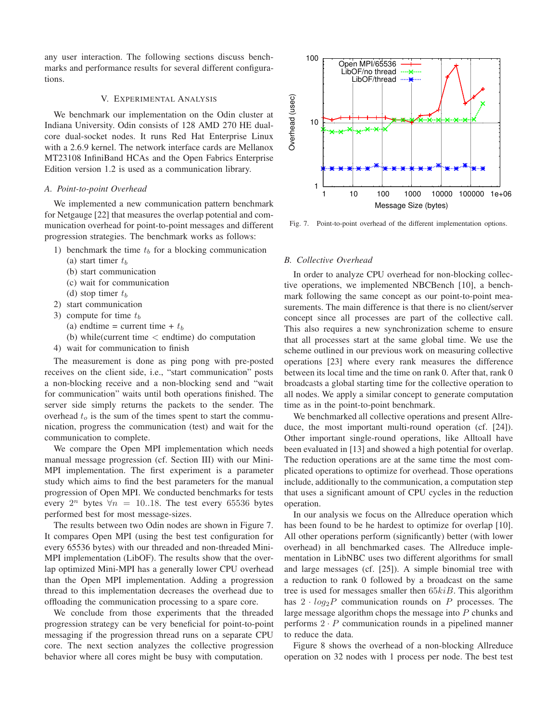any user interaction. The following sections discuss benchmarks and performance results for several different configurations.

## V. EXPERIMENTAL ANALYSIS

We benchmark our implementation on the Odin cluster at Indiana University. Odin consists of 128 AMD 270 HE dualcore dual-socket nodes. It runs Red Hat Enterprise Linux with a 2.6.9 kernel. The network interface cards are Mellanox MT23108 InfiniBand HCAs and the Open Fabrics Enterprise Edition version 1.2 is used as a communication library.

#### *A. Point-to-point Overhead*

We implemented a new communication pattern benchmark for Netgauge [22] that measures the overlap potential and communication overhead for point-to-point messages and different progression strategies. The benchmark works as follows:

- 1) benchmark the time  $t_b$  for a blocking communication (a) start timer  $t_b$ 
	- (b) start communication
	- (c) wait for communication
	- (d) stop timer  $t<sub>b</sub>$
- 2) start communication
- 3) compute for time  $t<sub>b</sub>$ 
	- (a) endtime = current time +  $t_b$
	- (b) while(current time  $\langle$  endtime) do computation
- 4) wait for communication to finish

The measurement is done as ping pong with pre-posted receives on the client side, i.e., "start communication" posts a non-blocking receive and a non-blocking send and "wait for communication" waits until both operations finished. The server side simply returns the packets to the sender. The overhead  $t_o$  is the sum of the times spent to start the communication, progress the communication (test) and wait for the communication to complete.

We compare the Open MPI implementation which needs manual message progression (cf. Section III) with our Mini-MPI implementation. The first experiment is a parameter study which aims to find the best parameters for the manual progression of Open MPI. We conducted benchmarks for tests every  $2^n$  bytes  $\forall n = 10..18$ . The test every 65536 bytes performed best for most message-sizes.

The results between two Odin nodes are shown in Figure 7. It compares Open MPI (using the best test configuration for every 65536 bytes) with our threaded and non-threaded Mini-MPI implementation (LibOF). The results show that the overlap optimized Mini-MPI has a generally lower CPU overhead than the Open MPI implementation. Adding a progression thread to this implementation decreases the overhead due to offloading the communication processing to a spare core.

We conclude from those experiments that the threaded progression strategy can be very beneficial for point-to-point messaging if the progression thread runs on a separate CPU core. The next section analyzes the collective progression behavior where all cores might be busy with computation.



Fig. 7. Point-to-point overhead of the different implementation options.

### *B. Collective Overhead*

In order to analyze CPU overhead for non-blocking collective operations, we implemented NBCBench [10], a benchmark following the same concept as our point-to-point measurements. The main difference is that there is no client/server concept since all processes are part of the collective call. This also requires a new synchronization scheme to ensure that all processes start at the same global time. We use the scheme outlined in our previous work on measuring collective operations [23] where every rank measures the difference between its local time and the time on rank 0. After that, rank 0 broadcasts a global starting time for the collective operation to all nodes. We apply a similar concept to generate computation time as in the point-to-point benchmark.

We benchmarked all collective operations and present Allreduce, the most important multi-round operation (cf. [24]). Other important single-round operations, like Alltoall have been evaluated in [13] and showed a high potential for overlap. The reduction operations are at the same time the most complicated operations to optimize for overhead. Those operations include, additionally to the communication, a computation step that uses a significant amount of CPU cycles in the reduction operation.

In our analysis we focus on the Allreduce operation which has been found to be he hardest to optimize for overlap [10]. All other operations perform (significantly) better (with lower overhead) in all benchmarked cases. The Allreduce implementation in LibNBC uses two different algorithms for small and large messages (cf. [25]). A simple binomial tree with a reduction to rank 0 followed by a broadcast on the same tree is used for messages smaller then  $65kiB$ . This algorithm has  $2 \cdot log_2 P$  communication rounds on P processes. The large message algorithm chops the message into P chunks and performs  $2 \cdot P$  communication rounds in a pipelined manner to reduce the data.

Figure 8 shows the overhead of a non-blocking Allreduce operation on 32 nodes with 1 process per node. The best test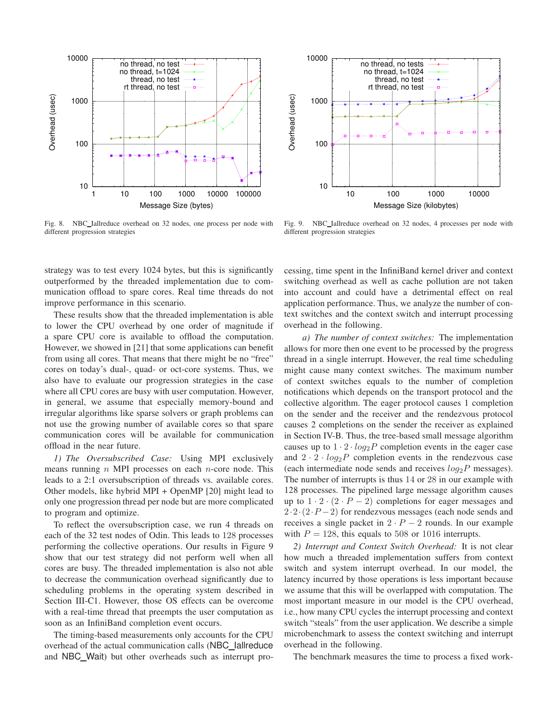

Fig. 8. NBC\_Iallreduce overhead on 32 nodes, one process per node with different progression strategies

Fig. 9. NBC Iallreduce overhead on 32 nodes, 4 processes per node with different progression strategies

strategy was to test every 1024 bytes, but this is significantly outperformed by the threaded implementation due to communication offload to spare cores. Real time threads do not improve performance in this scenario.

These results show that the threaded implementation is able to lower the CPU overhead by one order of magnitude if a spare CPU core is available to offload the computation. However, we showed in [21] that some applications can benefit from using all cores. That means that there might be no "free" cores on today's dual-, quad- or oct-core systems. Thus, we also have to evaluate our progression strategies in the case where all CPU cores are busy with user computation. However, in general, we assume that especially memory-bound and irregular algorithms like sparse solvers or graph problems can not use the growing number of available cores so that spare communication cores will be available for communication offload in the near future.

*1) The Oversubscribed Case:* Using MPI exclusively means running  $n$  MPI processes on each  $n$ -core node. This leads to a 2:1 oversubscription of threads vs. available cores. Other models, like hybrid MPI + OpenMP [20] might lead to only one progression thread per node but are more complicated to program and optimize.

To reflect the oversubscription case, we run 4 threads on each of the 32 test nodes of Odin. This leads to 128 processes performing the collective operations. Our results in Figure 9 show that our test strategy did not perform well when all cores are busy. The threaded implementation is also not able to decrease the communication overhead significantly due to scheduling problems in the operating system described in Section III-C1. However, those OS effects can be overcome with a real-time thread that preempts the user computation as soon as an InfiniBand completion event occurs.

The timing-based measurements only accounts for the CPU overhead of the actual communication calls (NBC\_lallreduce and NBC\_Wait) but other overheads such as interrupt processing, time spent in the InfiniBand kernel driver and context switching overhead as well as cache pollution are not taken into account and could have a detrimental effect on real application performance. Thus, we analyze the number of context switches and the context switch and interrupt processing overhead in the following.

*a) The number of context switches:* The implementation allows for more then one event to be processed by the progress thread in a single interrupt. However, the real time scheduling might cause many context switches. The maximum number of context switches equals to the number of completion notifications which depends on the transport protocol and the collective algorithm. The eager protocol causes 1 completion on the sender and the receiver and the rendezvous protocol causes 2 completions on the sender the receiver as explained in Section IV-B. Thus, the tree-based small message algorithm causes up to  $1 \cdot 2 \cdot log_2 P$  completion events in the eager case and  $2 \cdot 2 \cdot log_2 P$  completion events in the rendezvous case (each intermediate node sends and receives  $log_2 P$  messages). The number of interrupts is thus 14 or 28 in our example with 128 processes. The pipelined large message algorithm causes up to  $1 \cdot 2 \cdot (2 \cdot P - 2)$  completions for eager messages and  $2 \cdot 2 \cdot (2 \cdot P - 2)$  for rendezvous messages (each node sends and receives a single packet in  $2 \cdot P - 2$  rounds. In our example with  $P = 128$ , this equals to 508 or 1016 interrupts.

*2) Interrupt and Context Switch Overhead:* It is not clear how much a threaded implementation suffers from context switch and system interrupt overhead. In our model, the latency incurred by those operations is less important because we assume that this will be overlapped with computation. The most important measure in our model is the CPU overhead, i.e., how many CPU cycles the interrupt processing and context switch "steals" from the user application. We describe a simple microbenchmark to assess the context switching and interrupt overhead in the following.

The benchmark measures the time to process a fixed work-

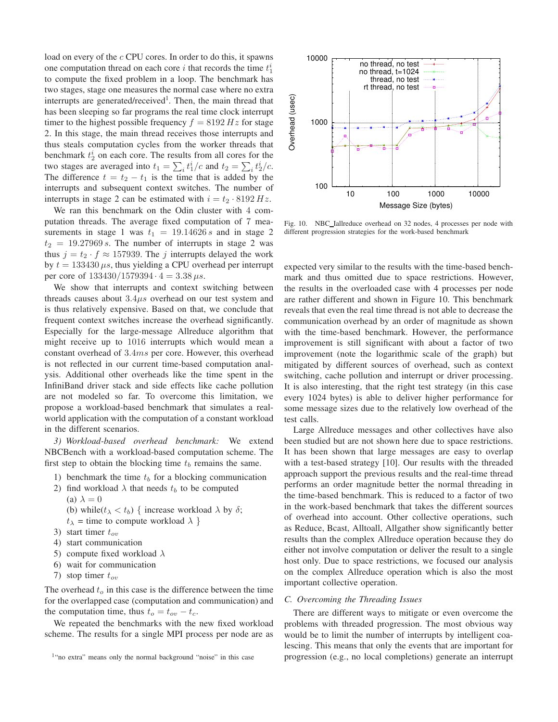load on every of the c CPU cores. In order to do this, it spawns one computation thread on each core *i* that records the time  $t_1^i$ to compute the fixed problem in a loop. The benchmark has two stages, stage one measures the normal case where no extra interrupts are generated/received<sup>1</sup>. Then, the main thread that has been sleeping so far programs the real time clock interrupt timer to the highest possible frequency  $f = 8192 Hz$  for stage 2. In this stage, the main thread receives those interrupts and thus steals computation cycles from the worker threads that benchmark  $t_2^i$  on each core. The results from all cores for the two stages are averaged into  $t_1 = \sum_i t_1^i/c$  and  $t_2 = \sum_i t_2^i/c$ . The difference  $t = t_2 - t_1$  is the time that is added by the interrupts and subsequent context switches. The number of interrupts in stage 2 can be estimated with  $i = t_2 \cdot 8192 Hz$ .

We ran this benchmark on the Odin cluster with 4 computation threads. The average fixed computation of 7 measurements in stage 1 was  $t_1 = 19.14626 s$  and in stage 2  $t_2 = 19.27969 s$ . The number of interrupts in stage 2 was thus  $j = t_2 \cdot f \approx 157939$ . The j interrupts delayed the work by  $t = 133430 \,\mu s$ , thus yielding a CPU overhead per interrupt per core of  $133430/1579394 \cdot 4 = 3.38 \,\mu s$ .

We show that interrupts and context switching between threads causes about  $3.4\mu s$  overhead on our test system and is thus relatively expensive. Based on that, we conclude that frequent context switches increase the overhead significantly. Especially for the large-message Allreduce algorithm that might receive up to 1016 interrupts which would mean a constant overhead of 3.4ms per core. However, this overhead is not reflected in our current time-based computation analysis. Additional other overheads like the time spent in the InfiniBand driver stack and side effects like cache pollution are not modeled so far. To overcome this limitation, we propose a workload-based benchmark that simulates a realworld application with the computation of a constant workload in the different scenarios.

*3) Workload-based overhead benchmark:* We extend NBCBench with a workload-based computation scheme. The first step to obtain the blocking time  $t<sub>b</sub>$  remains the same.

- 1) benchmark the time  $t<sub>b</sub>$  for a blocking communication
- 2) find workload  $\lambda$  that needs  $t_b$  to be computed (a)  $\lambda = 0$ 
	- (b) while( $t_{\lambda} < t_b$ ) { increase workload  $\lambda$  by  $\delta$ ;  $t_{\lambda}$  = time to compute workload  $\lambda$  }
- 3) start timer  $t_{ov}$
- 4) start communication
- 5) compute fixed workload  $\lambda$
- 6) wait for communication
- 7) stop timer  $t_{ov}$

The overhead  $t_o$  in this case is the difference between the time for the overlapped case (computation and communication) and the computation time, thus  $t_o = t_{ov} - t_c$ .

We repeated the benchmarks with the new fixed workload scheme. The results for a single MPI process per node are as



Fig. 10. NBC Iallreduce overhead on 32 nodes, 4 processes per node with different progression strategies for the work-based benchmark

expected very similar to the results with the time-based benchmark and thus omitted due to space restrictions. However, the results in the overloaded case with 4 processes per node are rather different and shown in Figure 10. This benchmark reveals that even the real time thread is not able to decrease the communication overhead by an order of magnitude as shown with the time-based benchmark. However, the performance improvement is still significant with about a factor of two improvement (note the logarithmic scale of the graph) but mitigated by different sources of overhead, such as context switching, cache pollution and interrupt or driver processing. It is also interesting, that the right test strategy (in this case every 1024 bytes) is able to deliver higher performance for some message sizes due to the relatively low overhead of the test calls.

Large Allreduce messages and other collectives have also been studied but are not shown here due to space restrictions. It has been shown that large messages are easy to overlap with a test-based strategy [10]. Our results with the threaded approach support the previous results and the real-time thread performs an order magnitude better the normal threading in the time-based benchmark. This is reduced to a factor of two in the work-based benchmark that takes the different sources of overhead into account. Other collective operations, such as Reduce, Bcast, Alltoall, Allgather show significantly better results than the complex Allreduce operation because they do either not involve computation or deliver the result to a single host only. Due to space restrictions, we focused our analysis on the complex Allreduce operation which is also the most important collective operation.

#### *C. Overcoming the Threading Issues*

There are different ways to mitigate or even overcome the problems with threaded progression. The most obvious way would be to limit the number of interrupts by intelligent coalescing. This means that only the events that are important for progression (e.g., no local completions) generate an interrupt

<sup>1</sup> "no extra" means only the normal background "noise" in this case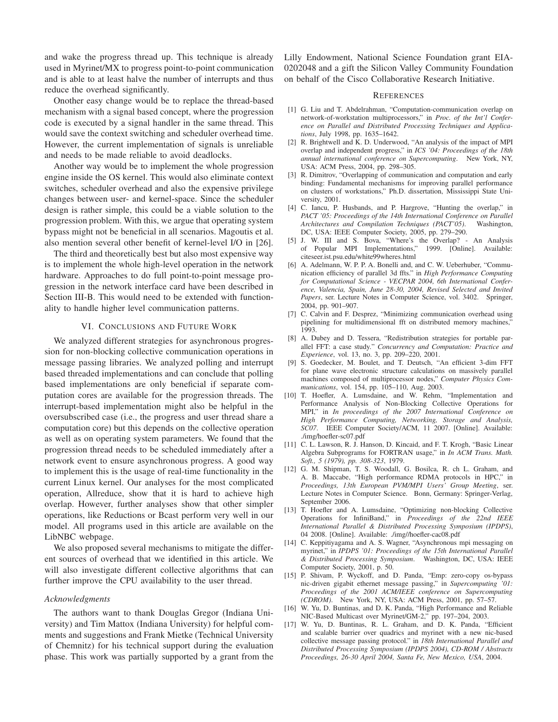and wake the progress thread up. This technique is already used in Myrinet/MX to progress point-to-point communication and is able to at least halve the number of interrupts and thus reduce the overhead significantly.

Onother easy change would be to replace the thread-based mechanism with a signal based concept, where the progression code is executed by a signal handler in the same thread. This would save the context switching and scheduler overhead time. However, the current implementation of signals is unreliable and needs to be made reliable to avoid deadlocks.

Another way would be to implement the whole progression engine inside the OS kernel. This would also eliminate context switches, scheduler overhead and also the expensive privilege changes between user- and kernel-space. Since the scheduler design is rather simple, this could be a viable solution to the progression problem. With this, we argue that operating system bypass might not be beneficial in all scenarios. Magoutis et al. also mention several other benefit of kernel-level I/O in [26].

The third and theoretically best but also most expensive way is to implement the whole high-level operation in the network hardware. Approaches to do full point-to-point message progression in the network interface card have been described in Section III-B. This would need to be extended with functionality to handle higher level communication patterns.

#### VI. CONCLUSIONS AND FUTURE WORK

We analyzed different strategies for asynchronous progression for non-blocking collective communication operations in message passing libraries. We analyzed polling and interrupt based threaded implementations and can conclude that polling based implementations are only beneficial if separate computation cores are available for the progression threads. The interrupt-based implementation might also be helpful in the oversubscribed case (i.e., the progress and user thread share a computation core) but this depends on the collective operation as well as on operating system parameters. We found that the progression thread needs to be scheduled immediately after a network event to ensure asynchronous progress. A good way to implement this is the usage of real-time functionality in the current Linux kernel. Our analyses for the most complicated operation, Allreduce, show that it is hard to achieve high overlap. However, further analyses show that other simpler operations, like Reductions or Bcast perform very well in our model. All programs used in this article are available on the LibNBC webpage.

We also proposed several mechanisms to mitigate the different sources of overhead that we identified in this article. We will also investigate different collective algorithms that can further improve the CPU availability to the user thread.

#### *Acknowledgments*

The authors want to thank Douglas Gregor (Indiana University) and Tim Mattox (Indiana University) for helpful comments and suggestions and Frank Mietke (Technical University of Chemnitz) for his technical support during the evaluation phase. This work was partially supported by a grant from the Lilly Endowment, National Science Foundation grant EIA-0202048 and a gift the Silicon Valley Community Foundation on behalf of the Cisco Collaborative Research Initiative.

#### **REFERENCES**

- [1] G. Liu and T. Abdelrahman, "Computation-communication overlap on network-of-workstation multiprocessors," in *Proc. of the Int'l Conference on Parallel and Distributed Processing Techniques and Applications*, July 1998, pp. 1635–1642.
- [2] R. Brightwell and K. D. Underwood, "An analysis of the impact of MPI overlap and independent progress," in *ICS '04: Proceedings of the 18th annual international conference on Supercomputing*. New York, NY, USA: ACM Press, 2004, pp. 298–305.
- [3] R. Dimitrov, "Overlapping of communication and computation and early binding: Fundamental mechanisms for improving parallel performance on clusters of workstations," Ph.D. dissertation, Mississippi State University, 2001.
- [4] C. Iancu, P. Husbands, and P. Hargrove, "Hunting the overlap," in *PACT '05: Proceedings of the 14th International Conference on Parallel Architectures and Compilation Techniques (PACT'05).* DC, USA: IEEE Computer Society, 2005, pp. 279–290.
- [5] J. W. III and S. Bova, "Where's the Overlap? An Analysis of Popular MPI Implementations," 1999. [Online]. Available: citeseer.ist.psu.edu/white99wheres.html
- [6] A. Adelmann, W. P. P. A. Bonelli and, and C. W. Ueberhuber, "Communication efficiency of parallel 3d ffts." in *High Performance Computing for Computational Science - VECPAR 2004, 6th International Conference, Valencia, Spain, June 28-30, 2004, Revised Selected and Invited Papers*, ser. Lecture Notes in Computer Science, vol. 3402. Springer, 2004, pp. 901–907.
- [7] C. Calvin and F. Desprez, "Minimizing communication overhead using pipelining for multidimensional fft on distributed memory machines,' 1993.
- [8] A. Dubey and D. Tessera, "Redistribution strategies for portable parallel FFT: a case study." *Concurrency and Computation: Practice and Experience*, vol. 13, no. 3, pp. 209–220, 2001.
- [9] S. Goedecker, M. Boulet, and T. Deutsch, "An efficient 3-dim FFT for plane wave electronic structure calculations on massively parallel machines composed of multiprocessor nodes," *Computer Physics Communications*, vol. 154, pp. 105–110, Aug. 2003.
- [10] T. Hoefler, A. Lumsdaine, and W. Rehm, "Implementation and Performance Analysis of Non-Blocking Collective Operations for MPI," in *In proceedings of the 2007 International Conference on High Performance Computing, Networking, Storage and Analysis, SC07*. IEEE Computer Society/ACM, 11 2007. [Online]. Available: ./img/hoefler-sc07.pdf
- [11] C. L. Lawson, R. J. Hanson, D. Kincaid, and F. T. Krogh, "Basic Linear Algebra Subprograms for FORTRAN usage," in *In ACM Trans. Math. Soft., 5 (1979), pp. 308-323*, 1979.
- [12] G. M. Shipman, T. S. Woodall, G. Bosilca, R. ch L. Graham, and A. B. Maccabe, "High performance RDMA protocols in HPC," in *Proceedings, 13th European PVM/MPI Users' Group Meeting*, ser. Lecture Notes in Computer Science. Bonn, Germany: Springer-Verlag, September 2006.
- [13] T. Hoefler and A. Lumsdaine, "Optimizing non-blocking Collective Operations for InfiniBand," in *Proceedings of the 22nd IEEE International Parallel & Distributed Processing Symposium (IPDPS)*, 04 2008. [Online]. Available: ./img//hoefler-cac08.pdf
- [14] C. Keppitiyagama and A. S. Wagner, "Asynchronous mpi messaging on myrinet," in *IPDPS '01: Proceedings of the 15th International Parallel & Distributed Processing Symposium*. Washington, DC, USA: IEEE Computer Society, 2001, p. 50.
- [15] P. Shivam, P. Wyckoff, and D. Panda, "Emp: zero-copy os-bypass nic-driven gigabit ethernet message passing," in *Supercomputing '01: Proceedings of the 2001 ACM/IEEE conference on Supercomputing (CDROM)*. New York, NY, USA: ACM Press, 2001, pp. 57–57.
- [16] W. Yu, D. Buntinas, and D. K. Panda, "High Performance and Reliable NIC-Based Multicast over Myrinet/GM-2," pp. 197–204, 2003.
- [17] W. Yu, D. Buntinas, R. L. Graham, and D. K. Panda, "Efficient and scalable barrier over quadrics and myrinet with a new nic-based collective message passing protocol." in *18th International Parallel and Distributed Processing Symposium (IPDPS 2004), CD-ROM / Abstracts Proceedings, 26-30 April 2004, Santa Fe, New Mexico, USA*, 2004.